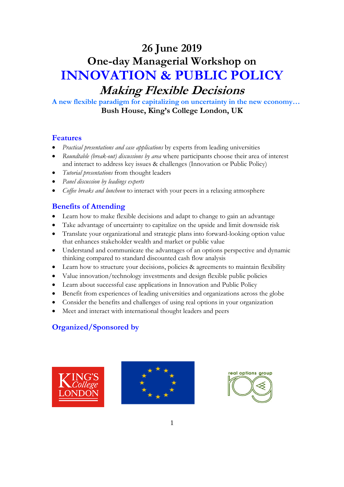# **26 June 2019 One-day Managerial Workshop on INNOVATION & PUBLIC POLICY Making Flexible Decisions**

**A new flexible paradigm for capitalizing on uncertainty in the new economy… Bush House, King's College London, UK**

# **Features**

- *Practical presentations and case applications* by experts from leading universities
- *Roundtable (break-out) discussions by area* where participants choose their area of interest and interact to address key issues & challenges (Innovation or Public Policy)
- *Tutorial presentations* from thought leaders
- *Panel discussion by leadings experts*
- *Coffee breaks and luncheon* to interact with your peers in a relaxing atmosphere

# **Benefits of Attending**

- Learn how to make flexible decisions and adapt to change to gain an advantage
- Take advantage of uncertainty to capitalize on the upside and limit downside risk
- Translate your organizational and strategic plans into forward-looking option value that enhances stakeholder wealth and market or public value
- Understand and communicate the advantages of an options perspective and dynamic thinking compared to standard discounted cash flow analysis
- Learn how to structure your decisions, policies & agreements to maintain flexibility
- Value innovation/technology investments and design flexible public policies
- Learn about successful case applications in Innovation and Public Policy
- Benefit from experiences of leading universities and organizations across the globe
- Consider the benefits and challenges of using real options in your organization
- Meet and interact with international thought leaders and peers

# **Organized/Sponsored by**





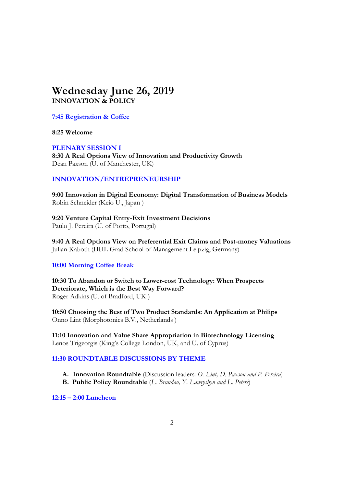# **Wednesday June 26, 2019 INNOVATION & POLICY**

#### **7:45 Registration & Coffee**

**8:25 Welcome**

**PLENARY SESSION I 8:30 A Real Options View of Innovation and Productivity Growth** Dean Paxson (U. of Manchester, UK)

# **INNOVATION/ENTREPRENEURSHIP**

**9:00 Innovation in Digital Economy: Digital Transformation of Business Models** Robin Schneider (Keio U., Japan )

**9:20 Venture Capital Entry-Exit Investment Decisions** Paulo J. Pereira (U. of Porto, Portugal)

**9:40 A Real Options View on Preferential Exit Claims and Post-money Valuations**  Julian Kaboth (HHL Grad School of Management Leipzig, Germany)

# **10:00 Morning Coffee Break**

**10:30 To Abandon or Switch to Lower-cost Technology: When Prospects Deteriorate, Which is the Best Way Forward?** Roger Adkins (U. of Bradford, UK )

**10:50 Choosing the Best of Two Product Standards: An Application at Philips**  Onno Lint (Morphotonics B.V., Netherlands )

**11:10 Innovation and Value Share Appropriation in Biotechnology Licensing** Lenos Trigeorgis (King's College London, UK, and U. of Cyprus)

# **11:30 ROUNDTABLE DISCUSSIONS BY THEME**

- **A. Innovation Roundtable** (Discussion leaders: *O. Lint, D. Paxson and P. Pereira*)
- **B. Public Policy Roundtable** (*L. Brandao, Y. Lawryshyn and L. Peters*)

**12:15 – 2:00 Luncheon**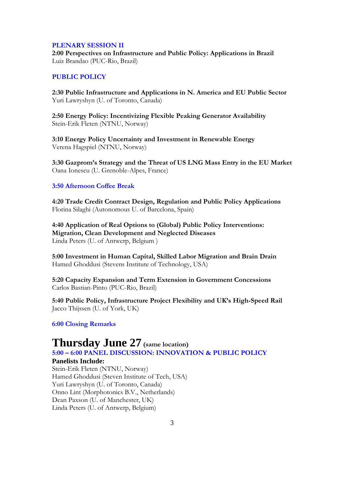#### **PLENARY SESSION II**

**2:00 Perspectives on Infrastructure and Public Policy: Applications in Brazil** Luiz Brandao (PUC-Rio, Brazil)

#### **PUBLIC POLICY**

**2:30 Public Infrastructure and Applications in N. America and EU Public Sector** Yuri Lawryshyn (U. of Toronto, Canada)

**2:50 Energy Policy: Incentivizing Flexible Peaking Generator Availability** Stein-Erik Fleten (NTNU, Norway)

**3:10 Energy Policy Uncertainty and Investment in Renewable Energy**  Verena Hagspiel (NTNU, Norway)

**3:30 Gazprom's Strategy and the Threat of US LNG Mass Entry in the EU Market** Oana Ionescu (U. Grenoble-Alpes, France)

# **3:50 Afternoon Coffee Break**

**4:20 Trade Credit Contract Design, Regulation and Public Policy Applications** Florina Silaghi (Autonomous U. of Barcelona, Spain)

**4:40 Application of Real Options to (Global) Public Policy Interventions: Migration, Clean Development and Neglected Diseases** Linda Peters (U. of Antwerp, Belgium )

**5:00 Investment in Human Capital, Skilled Labor Migration and Brain Drain**  Hamed Ghoddusi (Stevens Institute of Technology, USA)

**5:20 Capacity Expansion and Term Extension in Government Concessions** Carlos Bastian-Pinto (PUC-Rio, Brazil)

**5:40 Public Policy, Infrastructure Project Flexibility and UK's High-Speed Rail** Jacco Thijssen (U. of York, UK)

#### **6:00 Closing Remarks**

# **Thursday June 27 (same location)**

**5:00 – 6:00 PANEL DISCUSSION: INNOVATION & PUBLIC POLICY**

#### **Panelists Include:**

Stein-Erik Fleten (NTNU, Norway) Hamed Ghoddusi (Steven Institute of Tech, USA) Yuri Lawryshyn (U. of Toronto, Canada) Onno Lint (Morphotonics B.V., Netherlands) Dean Paxson (U. of Manchester, UK) Linda Peters (U. of Antwerp, Belgium)